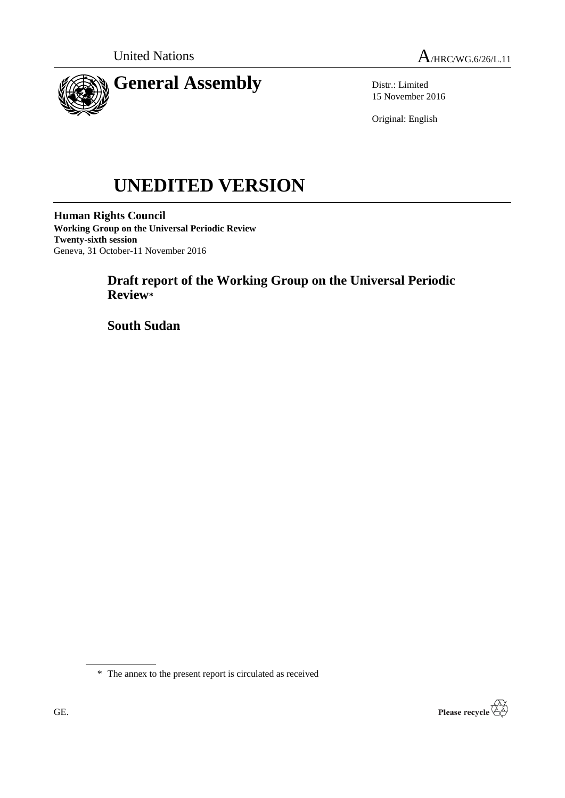



Distr.: Limited 15 November 2016

Original: English

# **UNEDITED VERSION**

**Human Rights Council Working Group on the Universal Periodic Review Twenty-sixth session** Geneva, 31 October-11 November 2016

# **Draft report of the Working Group on the Universal Periodic Review\***

**South Sudan**

\* The annex to the present report is circulated as received

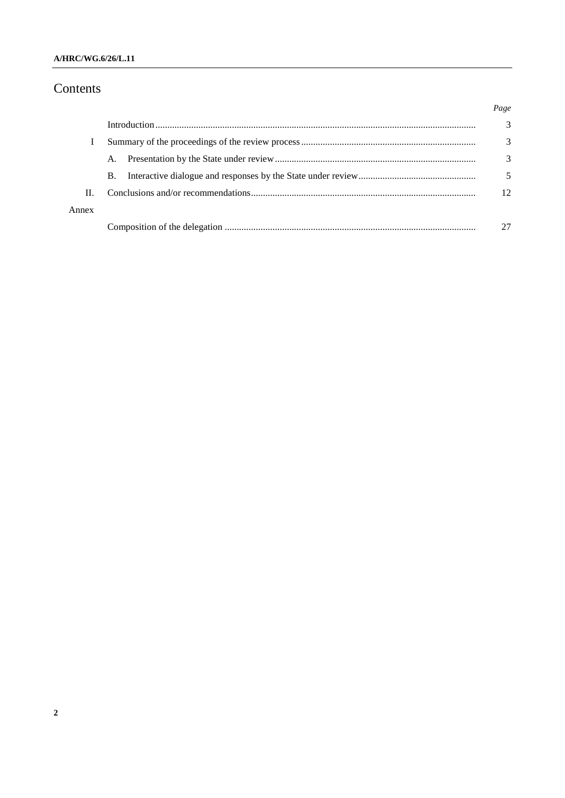## Contents

|       |           | Page |
|-------|-----------|------|
|       |           | 3    |
|       |           | 3    |
|       | A.        | 3    |
|       | <b>B.</b> |      |
| H.    |           | 12   |
| Annex |           |      |
|       |           |      |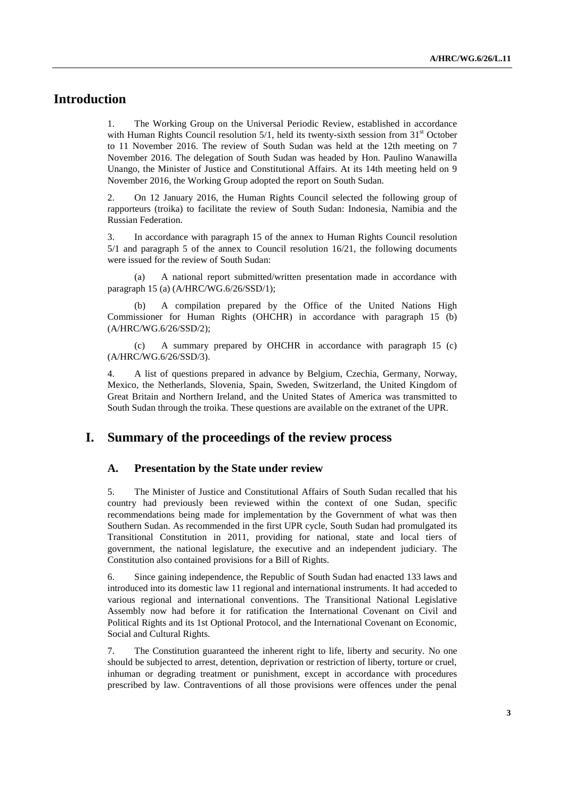## **Introduction**

1. The Working Group on the Universal Periodic Review, established in accordance with Human Rights Council resolution  $5/1$ , held its twenty-sixth session from  $31<sup>st</sup>$  October to 11 November 2016. The review of South Sudan was held at the 12th meeting on 7 November 2016. The delegation of South Sudan was headed by Hon. Paulino Wanawilla Unango, the Minister of Justice and Constitutional Affairs. At its 14th meeting held on 9 November 2016, the Working Group adopted the report on South Sudan.

2. On 12 January 2016, the Human Rights Council selected the following group of rapporteurs (troika) to facilitate the review of South Sudan: Indonesia, Namibia and the Russian Federation.

3. In accordance with paragraph 15 of the annex to Human Rights Council resolution 5/1 and paragraph 5 of the annex to Council resolution 16/21, the following documents were issued for the review of South Sudan:

(a) A national report submitted/written presentation made in accordance with paragraph 15 (a) (A/HRC/WG.6/26/SSD/1);

(b) A compilation prepared by the Office of the United Nations High Commissioner for Human Rights (OHCHR) in accordance with paragraph 15 (b) (A/HRC/WG.6/26/SSD/2);

(c) A summary prepared by OHCHR in accordance with paragraph 15 (c) (A/HRC/WG.6/26/SSD/3).

4. A list of questions prepared in advance by Belgium, Czechia, Germany, Norway, Mexico, the Netherlands, Slovenia, Spain, Sweden, Switzerland, the United Kingdom of Great Britain and Northern Ireland, and the United States of America was transmitted to South Sudan through the troika. These questions are available on the extranet of the UPR.

## **I. Summary of the proceedings of the review process**

#### **A. Presentation by the State under review**

5. The Minister of Justice and Constitutional Affairs of South Sudan recalled that his country had previously been reviewed within the context of one Sudan, specific recommendations being made for implementation by the Government of what was then Southern Sudan. As recommended in the first UPR cycle, South Sudan had promulgated its Transitional Constitution in 2011, providing for national, state and local tiers of government, the national legislature, the executive and an independent judiciary. The Constitution also contained provisions for a Bill of Rights.

6. Since gaining independence, the Republic of South Sudan had enacted 133 laws and introduced into its domestic law 11 regional and international instruments. It had acceded to various regional and international conventions. The Transitional National Legislative Assembly now had before it for ratification the International Covenant on Civil and Political Rights and its 1st Optional Protocol, and the International Covenant on Economic, Social and Cultural Rights.

7. The Constitution guaranteed the inherent right to life, liberty and security. No one should be subjected to arrest, detention, deprivation or restriction of liberty, torture or cruel, inhuman or degrading treatment or punishment, except in accordance with procedures prescribed by law. Contraventions of all those provisions were offences under the penal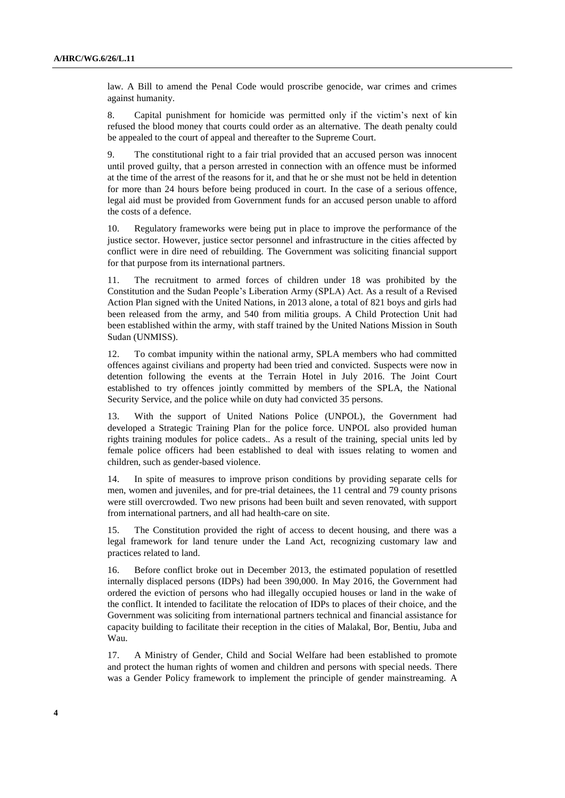law. A Bill to amend the Penal Code would proscribe genocide, war crimes and crimes against humanity.

8. Capital punishment for homicide was permitted only if the victim's next of kin refused the blood money that courts could order as an alternative. The death penalty could be appealed to the court of appeal and thereafter to the Supreme Court.

9. The constitutional right to a fair trial provided that an accused person was innocent until proved guilty, that a person arrested in connection with an offence must be informed at the time of the arrest of the reasons for it, and that he or she must not be held in detention for more than 24 hours before being produced in court. In the case of a serious offence, legal aid must be provided from Government funds for an accused person unable to afford the costs of a defence.

10. Regulatory frameworks were being put in place to improve the performance of the justice sector. However, justice sector personnel and infrastructure in the cities affected by conflict were in dire need of rebuilding. The Government was soliciting financial support for that purpose from its international partners.

11. The recruitment to armed forces of children under 18 was prohibited by the Constitution and the Sudan People's Liberation Army (SPLA) Act. As a result of a Revised Action Plan signed with the United Nations, in 2013 alone, a total of 821 boys and girls had been released from the army, and 540 from militia groups. A Child Protection Unit had been established within the army, with staff trained by the United Nations Mission in South Sudan (UNMISS).

12. To combat impunity within the national army, SPLA members who had committed offences against civilians and property had been tried and convicted. Suspects were now in detention following the events at the Terrain Hotel in July 2016. The Joint Court established to try offences jointly committed by members of the SPLA, the National Security Service, and the police while on duty had convicted 35 persons.

13. With the support of United Nations Police (UNPOL), the Government had developed a Strategic Training Plan for the police force. UNPOL also provided human rights training modules for police cadets.. As a result of the training, special units led by female police officers had been established to deal with issues relating to women and children, such as gender-based violence.

14. In spite of measures to improve prison conditions by providing separate cells for men, women and juveniles, and for pre-trial detainees, the 11 central and 79 county prisons were still overcrowded. Two new prisons had been built and seven renovated, with support from international partners, and all had health-care on site.

15. The Constitution provided the right of access to decent housing, and there was a legal framework for land tenure under the Land Act, recognizing customary law and practices related to land.

16. Before conflict broke out in December 2013, the estimated population of resettled internally displaced persons (IDPs) had been 390,000. In May 2016, the Government had ordered the eviction of persons who had illegally occupied houses or land in the wake of the conflict. It intended to facilitate the relocation of IDPs to places of their choice, and the Government was soliciting from international partners technical and financial assistance for capacity building to facilitate their reception in the cities of Malakal, Bor, Bentiu, Juba and Wau.

17. A Ministry of Gender, Child and Social Welfare had been established to promote and protect the human rights of women and children and persons with special needs. There was a Gender Policy framework to implement the principle of gender mainstreaming. A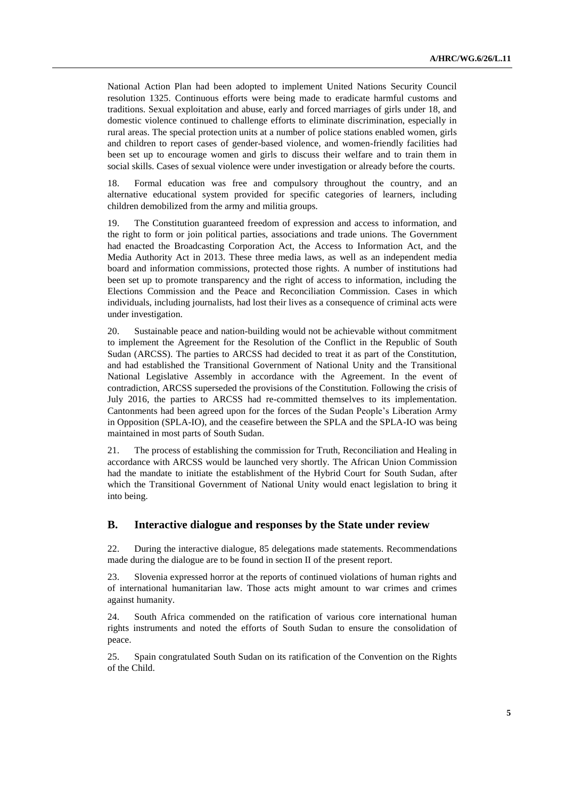National Action Plan had been adopted to implement United Nations Security Council resolution 1325. Continuous efforts were being made to eradicate harmful customs and traditions. Sexual exploitation and abuse, early and forced marriages of girls under 18, and domestic violence continued to challenge efforts to eliminate discrimination, especially in rural areas. The special protection units at a number of police stations enabled women, girls and children to report cases of gender-based violence, and women-friendly facilities had been set up to encourage women and girls to discuss their welfare and to train them in social skills. Cases of sexual violence were under investigation or already before the courts.

18. Formal education was free and compulsory throughout the country, and an alternative educational system provided for specific categories of learners, including children demobilized from the army and militia groups.

19. The Constitution guaranteed freedom of expression and access to information, and the right to form or join political parties, associations and trade unions. The Government had enacted the Broadcasting Corporation Act, the Access to Information Act, and the Media Authority Act in 2013. These three media laws, as well as an independent media board and information commissions, protected those rights. A number of institutions had been set up to promote transparency and the right of access to information, including the Elections Commission and the Peace and Reconciliation Commission. Cases in which individuals, including journalists, had lost their lives as a consequence of criminal acts were under investigation.

20. Sustainable peace and nation-building would not be achievable without commitment to implement the Agreement for the Resolution of the Conflict in the Republic of South Sudan (ARCSS). The parties to ARCSS had decided to treat it as part of the Constitution, and had established the Transitional Government of National Unity and the Transitional National Legislative Assembly in accordance with the Agreement. In the event of contradiction, ARCSS superseded the provisions of the Constitution. Following the crisis of July 2016, the parties to ARCSS had re-committed themselves to its implementation. Cantonments had been agreed upon for the forces of the Sudan People's Liberation Army in Opposition (SPLA-IO), and the ceasefire between the SPLA and the SPLA-IO was being maintained in most parts of South Sudan.

21. The process of establishing the commission for Truth, Reconciliation and Healing in accordance with ARCSS would be launched very shortly. The African Union Commission had the mandate to initiate the establishment of the Hybrid Court for South Sudan, after which the Transitional Government of National Unity would enact legislation to bring it into being.

#### **B. Interactive dialogue and responses by the State under review**

22. During the interactive dialogue, 85 delegations made statements. Recommendations made during the dialogue are to be found in section II of the present report.

23. Slovenia expressed horror at the reports of continued violations of human rights and of international humanitarian law. Those acts might amount to war crimes and crimes against humanity.

24. South Africa commended on the ratification of various core international human rights instruments and noted the efforts of South Sudan to ensure the consolidation of peace.

25. Spain congratulated South Sudan on its ratification of the Convention on the Rights of the Child.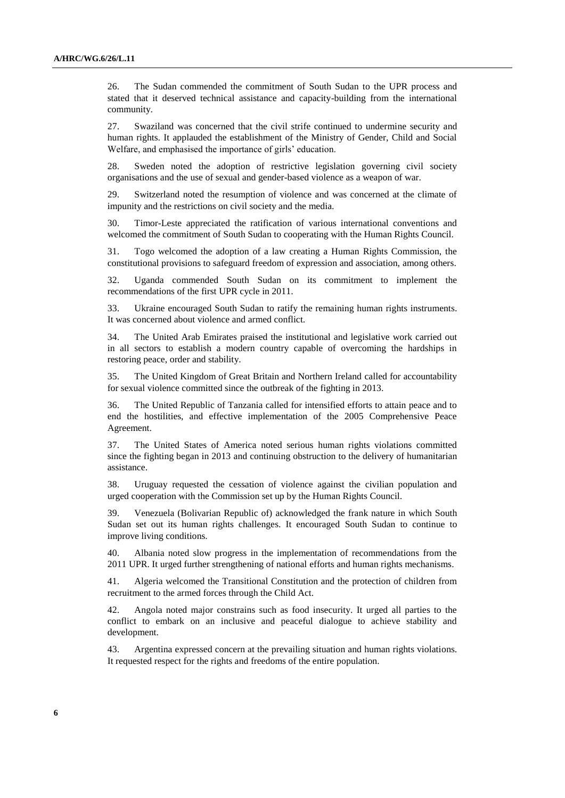26. The Sudan commended the commitment of South Sudan to the UPR process and stated that it deserved technical assistance and capacity-building from the international community.

27. Swaziland was concerned that the civil strife continued to undermine security and human rights. It applauded the establishment of the Ministry of Gender, Child and Social Welfare, and emphasised the importance of girls' education.

28. Sweden noted the adoption of restrictive legislation governing civil society organisations and the use of sexual and gender-based violence as a weapon of war.

29. Switzerland noted the resumption of violence and was concerned at the climate of impunity and the restrictions on civil society and the media.

30. Timor-Leste appreciated the ratification of various international conventions and welcomed the commitment of South Sudan to cooperating with the Human Rights Council.

31. Togo welcomed the adoption of a law creating a Human Rights Commission, the constitutional provisions to safeguard freedom of expression and association, among others.

32. Uganda commended South Sudan on its commitment to implement the recommendations of the first UPR cycle in 2011.

33. Ukraine encouraged South Sudan to ratify the remaining human rights instruments. It was concerned about violence and armed conflict.

34. The United Arab Emirates praised the institutional and legislative work carried out in all sectors to establish a modern country capable of overcoming the hardships in restoring peace, order and stability.

35. The United Kingdom of Great Britain and Northern Ireland called for accountability for sexual violence committed since the outbreak of the fighting in 2013.

36. The United Republic of Tanzania called for intensified efforts to attain peace and to end the hostilities, and effective implementation of the 2005 Comprehensive Peace Agreement.

37. The United States of America noted serious human rights violations committed since the fighting began in 2013 and continuing obstruction to the delivery of humanitarian assistance.

38. Uruguay requested the cessation of violence against the civilian population and urged cooperation with the Commission set up by the Human Rights Council.

39. Venezuela (Bolivarian Republic of) acknowledged the frank nature in which South Sudan set out its human rights challenges. It encouraged South Sudan to continue to improve living conditions.

40. Albania noted slow progress in the implementation of recommendations from the 2011 UPR. It urged further strengthening of national efforts and human rights mechanisms.

41. Algeria welcomed the Transitional Constitution and the protection of children from recruitment to the armed forces through the Child Act.

42. Angola noted major constrains such as food insecurity. It urged all parties to the conflict to embark on an inclusive and peaceful dialogue to achieve stability and development.

43. Argentina expressed concern at the prevailing situation and human rights violations. It requested respect for the rights and freedoms of the entire population.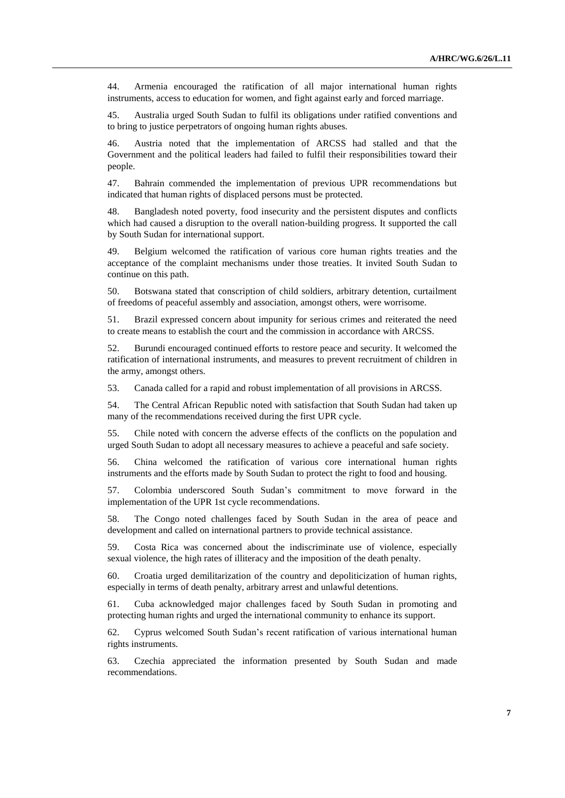44. Armenia encouraged the ratification of all major international human rights instruments, access to education for women, and fight against early and forced marriage.

45. Australia urged South Sudan to fulfil its obligations under ratified conventions and to bring to justice perpetrators of ongoing human rights abuses.

46. Austria noted that the implementation of ARCSS had stalled and that the Government and the political leaders had failed to fulfil their responsibilities toward their people.

47. Bahrain commended the implementation of previous UPR recommendations but indicated that human rights of displaced persons must be protected.

48. Bangladesh noted poverty, food insecurity and the persistent disputes and conflicts which had caused a disruption to the overall nation-building progress. It supported the call by South Sudan for international support.

49. Belgium welcomed the ratification of various core human rights treaties and the acceptance of the complaint mechanisms under those treaties. It invited South Sudan to continue on this path.

50. Botswana stated that conscription of child soldiers, arbitrary detention, curtailment of freedoms of peaceful assembly and association, amongst others, were worrisome.

51. Brazil expressed concern about impunity for serious crimes and reiterated the need to create means to establish the court and the commission in accordance with ARCSS.

52. Burundi encouraged continued efforts to restore peace and security. It welcomed the ratification of international instruments, and measures to prevent recruitment of children in the army, amongst others.

53. Canada called for a rapid and robust implementation of all provisions in ARCSS.

54. The Central African Republic noted with satisfaction that South Sudan had taken up many of the recommendations received during the first UPR cycle.

55. Chile noted with concern the adverse effects of the conflicts on the population and urged South Sudan to adopt all necessary measures to achieve a peaceful and safe society.

56. China welcomed the ratification of various core international human rights instruments and the efforts made by South Sudan to protect the right to food and housing.

57. Colombia underscored South Sudan's commitment to move forward in the implementation of the UPR 1st cycle recommendations.

58. The Congo noted challenges faced by South Sudan in the area of peace and development and called on international partners to provide technical assistance.

59. Costa Rica was concerned about the indiscriminate use of violence, especially sexual violence, the high rates of illiteracy and the imposition of the death penalty.

60. Croatia urged demilitarization of the country and depoliticization of human rights, especially in terms of death penalty, arbitrary arrest and unlawful detentions.

61. Cuba acknowledged major challenges faced by South Sudan in promoting and protecting human rights and urged the international community to enhance its support.

62. Cyprus welcomed South Sudan's recent ratification of various international human rights instruments.

63. Czechia appreciated the information presented by South Sudan and made recommendations.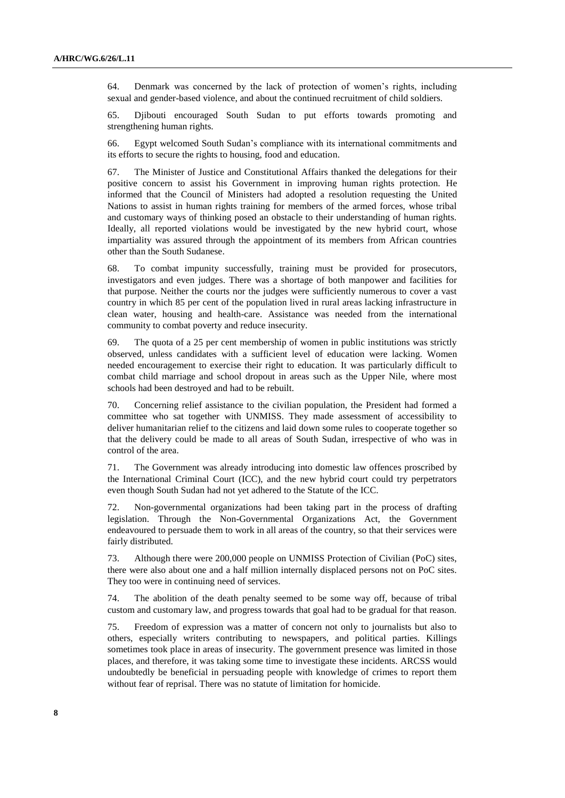64. Denmark was concerned by the lack of protection of women's rights, including sexual and gender-based violence, and about the continued recruitment of child soldiers.

65. Djibouti encouraged South Sudan to put efforts towards promoting and strengthening human rights.

66. Egypt welcomed South Sudan's compliance with its international commitments and its efforts to secure the rights to housing, food and education.

67. The Minister of Justice and Constitutional Affairs thanked the delegations for their positive concern to assist his Government in improving human rights protection. He informed that the Council of Ministers had adopted a resolution requesting the United Nations to assist in human rights training for members of the armed forces, whose tribal and customary ways of thinking posed an obstacle to their understanding of human rights. Ideally, all reported violations would be investigated by the new hybrid court, whose impartiality was assured through the appointment of its members from African countries other than the South Sudanese.

68. To combat impunity successfully, training must be provided for prosecutors, investigators and even judges. There was a shortage of both manpower and facilities for that purpose. Neither the courts nor the judges were sufficiently numerous to cover a vast country in which 85 per cent of the population lived in rural areas lacking infrastructure in clean water, housing and health-care. Assistance was needed from the international community to combat poverty and reduce insecurity.

69. The quota of a 25 per cent membership of women in public institutions was strictly observed, unless candidates with a sufficient level of education were lacking. Women needed encouragement to exercise their right to education. It was particularly difficult to combat child marriage and school dropout in areas such as the Upper Nile, where most schools had been destroyed and had to be rebuilt.

70. Concerning relief assistance to the civilian population, the President had formed a committee who sat together with UNMISS. They made assessment of accessibility to deliver humanitarian relief to the citizens and laid down some rules to cooperate together so that the delivery could be made to all areas of South Sudan, irrespective of who was in control of the area.

71. The Government was already introducing into domestic law offences proscribed by the International Criminal Court (ICC), and the new hybrid court could try perpetrators even though South Sudan had not yet adhered to the Statute of the ICC.

72. Non-governmental organizations had been taking part in the process of drafting legislation. Through the Non-Governmental Organizations Act, the Government endeavoured to persuade them to work in all areas of the country, so that their services were fairly distributed.

73. Although there were 200,000 people on UNMISS Protection of Civilian (PoC) sites, there were also about one and a half million internally displaced persons not on PoC sites. They too were in continuing need of services.

74. The abolition of the death penalty seemed to be some way off, because of tribal custom and customary law, and progress towards that goal had to be gradual for that reason.

75. Freedom of expression was a matter of concern not only to journalists but also to others, especially writers contributing to newspapers, and political parties. Killings sometimes took place in areas of insecurity. The government presence was limited in those places, and therefore, it was taking some time to investigate these incidents. ARCSS would undoubtedly be beneficial in persuading people with knowledge of crimes to report them without fear of reprisal. There was no statute of limitation for homicide.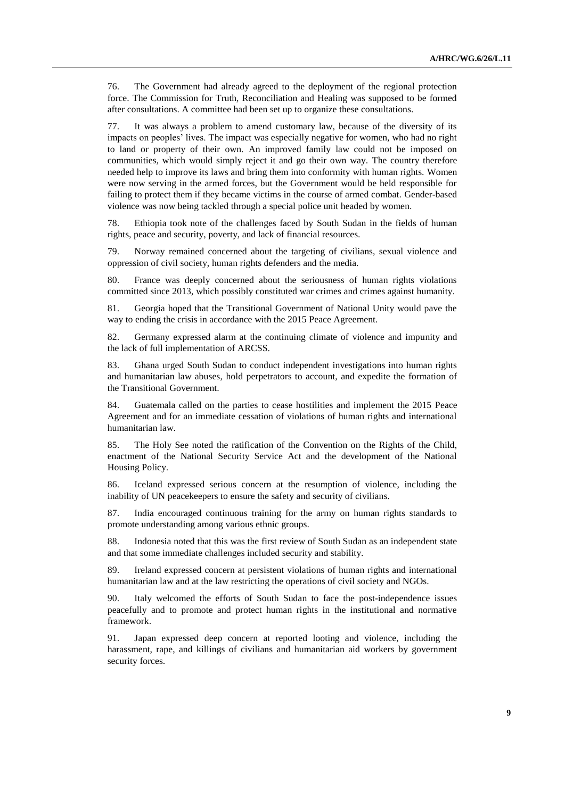76. The Government had already agreed to the deployment of the regional protection force. The Commission for Truth, Reconciliation and Healing was supposed to be formed after consultations. A committee had been set up to organize these consultations.

It was always a problem to amend customary law, because of the diversity of its impacts on peoples' lives. The impact was especially negative for women, who had no right to land or property of their own. An improved family law could not be imposed on communities, which would simply reject it and go their own way. The country therefore needed help to improve its laws and bring them into conformity with human rights. Women were now serving in the armed forces, but the Government would be held responsible for failing to protect them if they became victims in the course of armed combat. Gender-based violence was now being tackled through a special police unit headed by women.

78. Ethiopia took note of the challenges faced by South Sudan in the fields of human rights, peace and security, poverty, and lack of financial resources.

79. Norway remained concerned about the targeting of civilians, sexual violence and oppression of civil society, human rights defenders and the media.

80. France was deeply concerned about the seriousness of human rights violations committed since 2013, which possibly constituted war crimes and crimes against humanity.

81. Georgia hoped that the Transitional Government of National Unity would pave the way to ending the crisis in accordance with the 2015 Peace Agreement.

82. Germany expressed alarm at the continuing climate of violence and impunity and the lack of full implementation of ARCSS.

83. Ghana urged South Sudan to conduct independent investigations into human rights and humanitarian law abuses, hold perpetrators to account, and expedite the formation of the Transitional Government.

84. Guatemala called on the parties to cease hostilities and implement the 2015 Peace Agreement and for an immediate cessation of violations of human rights and international humanitarian law.

85. The Holy See noted the ratification of the Convention on the Rights of the Child, enactment of the National Security Service Act and the development of the National Housing Policy.

86. Iceland expressed serious concern at the resumption of violence, including the inability of UN peacekeepers to ensure the safety and security of civilians.

87. India encouraged continuous training for the army on human rights standards to promote understanding among various ethnic groups.

88. Indonesia noted that this was the first review of South Sudan as an independent state and that some immediate challenges included security and stability.

89. Ireland expressed concern at persistent violations of human rights and international humanitarian law and at the law restricting the operations of civil society and NGOs.

90. Italy welcomed the efforts of South Sudan to face the post-independence issues peacefully and to promote and protect human rights in the institutional and normative framework.

91. Japan expressed deep concern at reported looting and violence, including the harassment, rape, and killings of civilians and humanitarian aid workers by government security forces.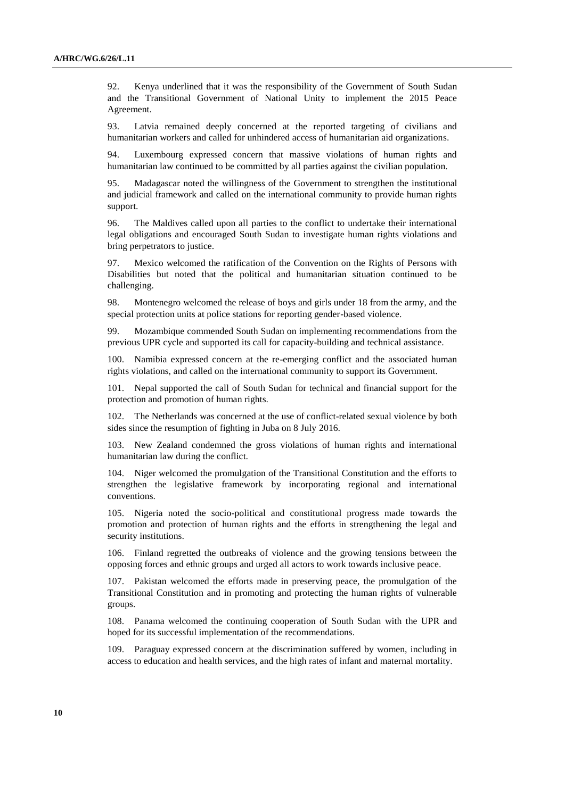92. Kenya underlined that it was the responsibility of the Government of South Sudan and the Transitional Government of National Unity to implement the 2015 Peace Agreement.

93. Latvia remained deeply concerned at the reported targeting of civilians and humanitarian workers and called for unhindered access of humanitarian aid organizations.

94. Luxembourg expressed concern that massive violations of human rights and humanitarian law continued to be committed by all parties against the civilian population.

95. Madagascar noted the willingness of the Government to strengthen the institutional and judicial framework and called on the international community to provide human rights support.

96. The Maldives called upon all parties to the conflict to undertake their international legal obligations and encouraged South Sudan to investigate human rights violations and bring perpetrators to justice.

97. Mexico welcomed the ratification of the Convention on the Rights of Persons with Disabilities but noted that the political and humanitarian situation continued to be challenging.

98. Montenegro welcomed the release of boys and girls under 18 from the army, and the special protection units at police stations for reporting gender-based violence.

99. Mozambique commended South Sudan on implementing recommendations from the previous UPR cycle and supported its call for capacity-building and technical assistance.

100. Namibia expressed concern at the re-emerging conflict and the associated human rights violations, and called on the international community to support its Government.

101. Nepal supported the call of South Sudan for technical and financial support for the protection and promotion of human rights.

102. The Netherlands was concerned at the use of conflict-related sexual violence by both sides since the resumption of fighting in Juba on 8 July 2016.

103. New Zealand condemned the gross violations of human rights and international humanitarian law during the conflict.

104. Niger welcomed the promulgation of the Transitional Constitution and the efforts to strengthen the legislative framework by incorporating regional and international conventions.

105. Nigeria noted the socio-political and constitutional progress made towards the promotion and protection of human rights and the efforts in strengthening the legal and security institutions.

106. Finland regretted the outbreaks of violence and the growing tensions between the opposing forces and ethnic groups and urged all actors to work towards inclusive peace.

107. Pakistan welcomed the efforts made in preserving peace, the promulgation of the Transitional Constitution and in promoting and protecting the human rights of vulnerable groups.

108. Panama welcomed the continuing cooperation of South Sudan with the UPR and hoped for its successful implementation of the recommendations.

109. Paraguay expressed concern at the discrimination suffered by women, including in access to education and health services, and the high rates of infant and maternal mortality.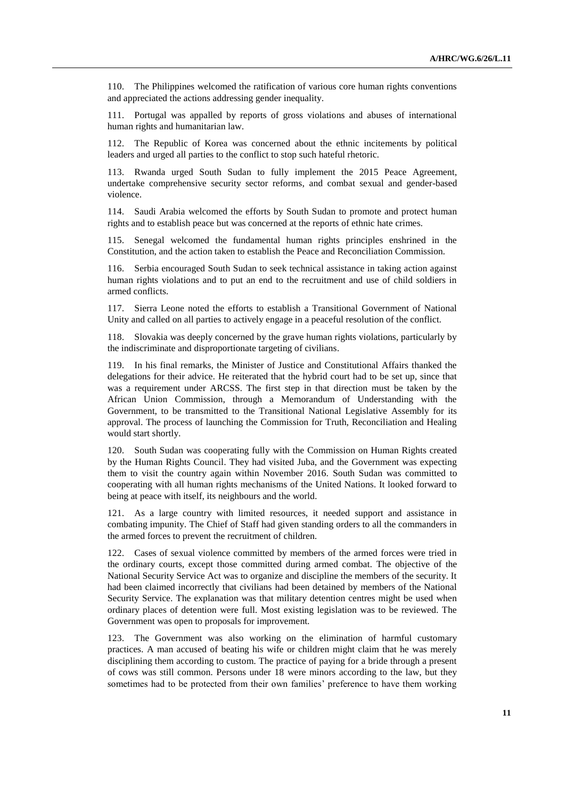110. The Philippines welcomed the ratification of various core human rights conventions and appreciated the actions addressing gender inequality.

111. Portugal was appalled by reports of gross violations and abuses of international human rights and humanitarian law.

112. The Republic of Korea was concerned about the ethnic incitements by political leaders and urged all parties to the conflict to stop such hateful rhetoric.

113. Rwanda urged South Sudan to fully implement the 2015 Peace Agreement, undertake comprehensive security sector reforms, and combat sexual and gender-based violence.

114. Saudi Arabia welcomed the efforts by South Sudan to promote and protect human rights and to establish peace but was concerned at the reports of ethnic hate crimes.

115. Senegal welcomed the fundamental human rights principles enshrined in the Constitution, and the action taken to establish the Peace and Reconciliation Commission.

116. Serbia encouraged South Sudan to seek technical assistance in taking action against human rights violations and to put an end to the recruitment and use of child soldiers in armed conflicts.

117. Sierra Leone noted the efforts to establish a Transitional Government of National Unity and called on all parties to actively engage in a peaceful resolution of the conflict.

118. Slovakia was deeply concerned by the grave human rights violations, particularly by the indiscriminate and disproportionate targeting of civilians.

119. In his final remarks, the Minister of Justice and Constitutional Affairs thanked the delegations for their advice. He reiterated that the hybrid court had to be set up, since that was a requirement under ARCSS. The first step in that direction must be taken by the African Union Commission, through a Memorandum of Understanding with the Government, to be transmitted to the Transitional National Legislative Assembly for its approval. The process of launching the Commission for Truth, Reconciliation and Healing would start shortly.

120. South Sudan was cooperating fully with the Commission on Human Rights created by the Human Rights Council. They had visited Juba, and the Government was expecting them to visit the country again within November 2016. South Sudan was committed to cooperating with all human rights mechanisms of the United Nations. It looked forward to being at peace with itself, its neighbours and the world.

121. As a large country with limited resources, it needed support and assistance in combating impunity. The Chief of Staff had given standing orders to all the commanders in the armed forces to prevent the recruitment of children.

122. Cases of sexual violence committed by members of the armed forces were tried in the ordinary courts, except those committed during armed combat. The objective of the National Security Service Act was to organize and discipline the members of the security. It had been claimed incorrectly that civilians had been detained by members of the National Security Service. The explanation was that military detention centres might be used when ordinary places of detention were full. Most existing legislation was to be reviewed. The Government was open to proposals for improvement.

123. The Government was also working on the elimination of harmful customary practices. A man accused of beating his wife or children might claim that he was merely disciplining them according to custom. The practice of paying for a bride through a present of cows was still common. Persons under 18 were minors according to the law, but they sometimes had to be protected from their own families' preference to have them working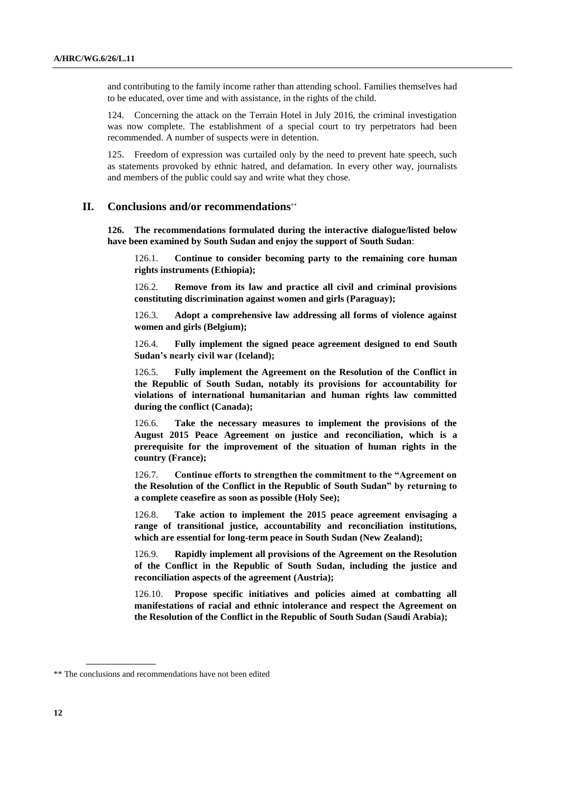and contributing to the family income rather than attending school. Families themselves had to be educated, over time and with assistance, in the rights of the child.

124. Concerning the attack on the Terrain Hotel in July 2016, the criminal investigation was now complete. The establishment of a special court to try perpetrators had been recommended. A number of suspects were in detention.

125. Freedom of expression was curtailed only by the need to prevent hate speech, such as statements provoked by ethnic hatred, and defamation. In every other way, journalists and members of the public could say and write what they chose.

#### **II. Conclusions and/or recommendations**

**126. The recommendations formulated during the interactive dialogue/listed below have been examined by South Sudan and enjoy the support of South Sudan**:

126.1. **Continue to consider becoming party to the remaining core human rights instruments (Ethiopia);**

126.2. **Remove from its law and practice all civil and criminal provisions constituting discrimination against women and girls (Paraguay);**

126.3. **Adopt a comprehensive law addressing all forms of violence against women and girls (Belgium);**

126.4. **Fully implement the signed peace agreement designed to end South Sudan's nearly civil war (Iceland);**

126.5. **Fully implement the Agreement on the Resolution of the Conflict in the Republic of South Sudan, notably its provisions for accountability for violations of international humanitarian and human rights law committed during the conflict (Canada);**

126.6. **Take the necessary measures to implement the provisions of the August 2015 Peace Agreement on justice and reconciliation, which is a prerequisite for the improvement of the situation of human rights in the country (France);** 

126.7. **Continue efforts to strengthen the commitment to the "Agreement on the Resolution of the Conflict in the Republic of South Sudan" by returning to a complete ceasefire as soon as possible (Holy See);**

126.8. **Take action to implement the 2015 peace agreement envisaging a range of transitional justice, accountability and reconciliation institutions, which are essential for long-term peace in South Sudan (New Zealand);**

126.9. **Rapidly implement all provisions of the Agreement on the Resolution of the Conflict in the Republic of South Sudan, including the justice and reconciliation aspects of the agreement (Austria);** 

126.10. **Propose specific initiatives and policies aimed at combatting all manifestations of racial and ethnic intolerance and respect the Agreement on the Resolution of the Conflict in the Republic of South Sudan (Saudi Arabia);**

<sup>\*\*</sup> The conclusions and recommendations have not been edited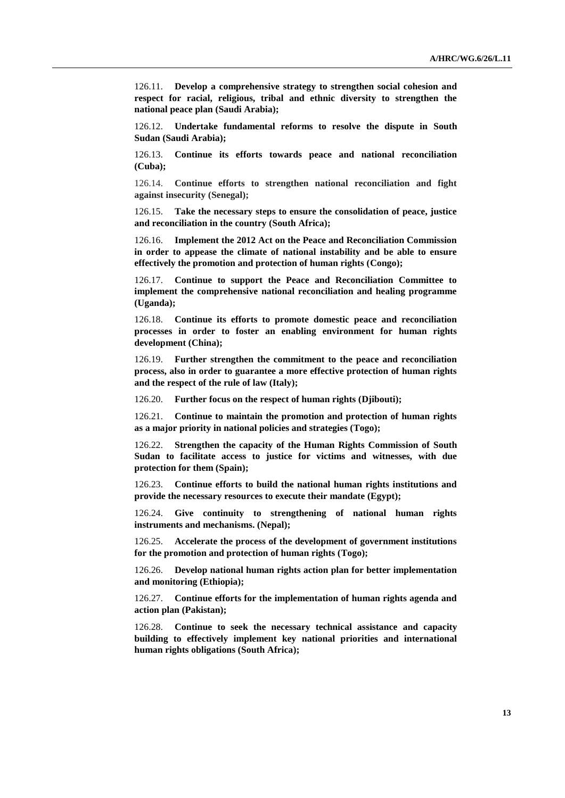126.11. **Develop a comprehensive strategy to strengthen social cohesion and respect for racial, religious, tribal and ethnic diversity to strengthen the national peace plan (Saudi Arabia);** 

126.12. **Undertake fundamental reforms to resolve the dispute in South Sudan (Saudi Arabia);**

126.13. **Continue its efforts towards peace and national reconciliation (Cuba);**

126.14. **Continue efforts to strengthen national reconciliation and fight against insecurity (Senegal);**

126.15. **Take the necessary steps to ensure the consolidation of peace, justice and reconciliation in the country (South Africa);**

126.16. **Implement the 2012 Act on the Peace and Reconciliation Commission in order to appease the climate of national instability and be able to ensure effectively the promotion and protection of human rights (Congo);**

126.17. **Continue to support the Peace and Reconciliation Committee to implement the comprehensive national reconciliation and healing programme (Uganda);**

126.18. **Continue its efforts to promote domestic peace and reconciliation processes in order to foster an enabling environment for human rights development (China);**

126.19. **Further strengthen the commitment to the peace and reconciliation process, also in order to guarantee a more effective protection of human rights and the respect of the rule of law (Italy);**

126.20. **Further focus on the respect of human rights (Djibouti);**

126.21. **Continue to maintain the promotion and protection of human rights as a major priority in national policies and strategies (Togo);**

126.22. **Strengthen the capacity of the Human Rights Commission of South Sudan to facilitate access to justice for victims and witnesses, with due protection for them (Spain);**

126.23. **Continue efforts to build the national human rights institutions and provide the necessary resources to execute their mandate (Egypt);**

126.24. **Give continuity to strengthening of national human rights instruments and mechanisms. (Nepal);**

126.25. **Accelerate the process of the development of government institutions for the promotion and protection of human rights (Togo);**

126.26. **Develop national human rights action plan for better implementation and monitoring (Ethiopia);**

126.27. **Continue efforts for the implementation of human rights agenda and action plan (Pakistan);**

126.28. **Continue to seek the necessary technical assistance and capacity building to effectively implement key national priorities and international human rights obligations (South Africa);**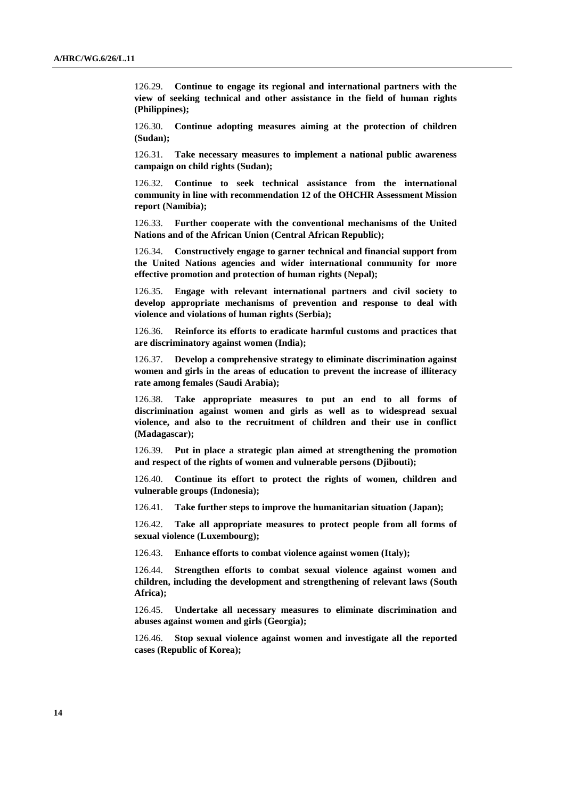126.29. **Continue to engage its regional and international partners with the view of seeking technical and other assistance in the field of human rights (Philippines);**

126.30. **Continue adopting measures aiming at the protection of children (Sudan);**

126.31. **Take necessary measures to implement a national public awareness campaign on child rights (Sudan);**

126.32. **Continue to seek technical assistance from the international community in line with recommendation 12 of the OHCHR Assessment Mission report (Namibia);**

126.33. **Further cooperate with the conventional mechanisms of the United Nations and of the African Union (Central African Republic);**

126.34. **Constructively engage to garner technical and financial support from the United Nations agencies and wider international community for more effective promotion and protection of human rights (Nepal);**

126.35. **Engage with relevant international partners and civil society to develop appropriate mechanisms of prevention and response to deal with violence and violations of human rights (Serbia);**

126.36. **Reinforce its efforts to eradicate harmful customs and practices that are discriminatory against women (India);**

126.37. **Develop a comprehensive strategy to eliminate discrimination against women and girls in the areas of education to prevent the increase of illiteracy rate among females (Saudi Arabia);**

126.38. **Take appropriate measures to put an end to all forms of discrimination against women and girls as well as to widespread sexual violence, and also to the recruitment of children and their use in conflict (Madagascar);** 

126.39. **Put in place a strategic plan aimed at strengthening the promotion and respect of the rights of women and vulnerable persons (Djibouti);**

126.40. **Continue its effort to protect the rights of women, children and vulnerable groups (Indonesia);**

126.41. **Take further steps to improve the humanitarian situation (Japan);**

126.42. **Take all appropriate measures to protect people from all forms of sexual violence (Luxembourg);**

126.43. **Enhance efforts to combat violence against women (Italy);**

126.44. **Strengthen efforts to combat sexual violence against women and children, including the development and strengthening of relevant laws (South Africa);**

126.45. **Undertake all necessary measures to eliminate discrimination and abuses against women and girls (Georgia);** 

126.46. **Stop sexual violence against women and investigate all the reported cases (Republic of Korea);**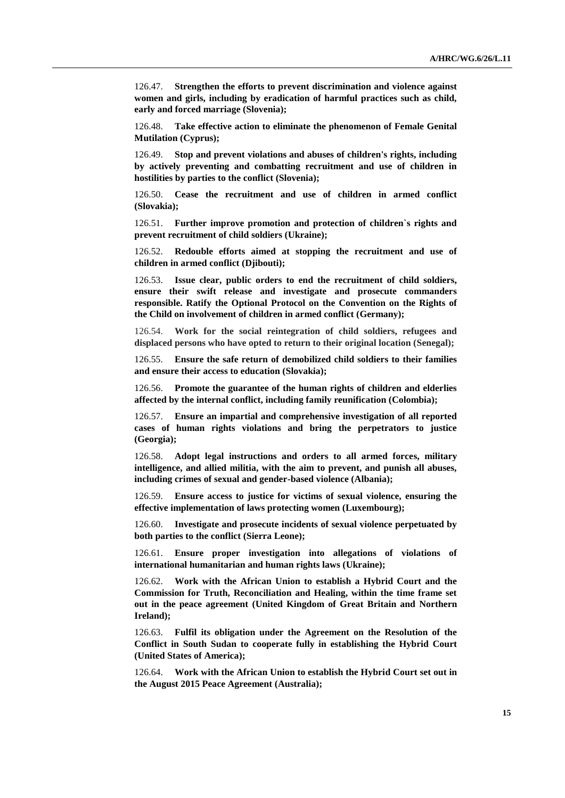126.47. **Strengthen the efforts to prevent discrimination and violence against women and girls, including by eradication of harmful practices such as child, early and forced marriage (Slovenia);**

126.48. **Take effective action to eliminate the phenomenon of Female Genital Mutilation (Cyprus);**

126.49. **Stop and prevent violations and abuses of children's rights, including by actively preventing and combatting recruitment and use of children in hostilities by parties to the conflict (Slovenia);**

126.50. **Cease the recruitment and use of children in armed conflict (Slovakia);**

126.51. **Further improve promotion and protection of children`s rights and prevent recruitment of child soldiers (Ukraine);**

126.52. **Redouble efforts aimed at stopping the recruitment and use of children in armed conflict (Djibouti);**

126.53. **Issue clear, public orders to end the recruitment of child soldiers, ensure their swift release and investigate and prosecute commanders responsible. Ratify the Optional Protocol on the Convention on the Rights of the Child on involvement of children in armed conflict (Germany);**

126.54. **Work for the social reintegration of child soldiers, refugees and displaced persons who have opted to return to their original location (Senegal);**

126.55. **Ensure the safe return of demobilized child soldiers to their families and ensure their access to education (Slovakia);**

126.56. **Promote the guarantee of the human rights of children and elderlies affected by the internal conflict, including family reunification (Colombia);**

126.57. **Ensure an impartial and comprehensive investigation of all reported cases of human rights violations and bring the perpetrators to justice (Georgia);**

126.58. **Adopt legal instructions and orders to all armed forces, military intelligence, and allied militia, with the aim to prevent, and punish all abuses, including crimes of sexual and gender-based violence (Albania);**

126.59. **Ensure access to justice for victims of sexual violence, ensuring the effective implementation of laws protecting women (Luxembourg);**

126.60. **Investigate and prosecute incidents of sexual violence perpetuated by both parties to the conflict (Sierra Leone);**

126.61. **Ensure proper investigation into allegations of violations of international humanitarian and human rights laws (Ukraine);**

126.62. **Work with the African Union to establish a Hybrid Court and the Commission for Truth, Reconciliation and Healing, within the time frame set out in the peace agreement (United Kingdom of Great Britain and Northern Ireland);**

126.63. **Fulfil its obligation under the Agreement on the Resolution of the Conflict in South Sudan to cooperate fully in establishing the Hybrid Court (United States of America);**

126.64. **Work with the African Union to establish the Hybrid Court set out in the August 2015 Peace Agreement (Australia);**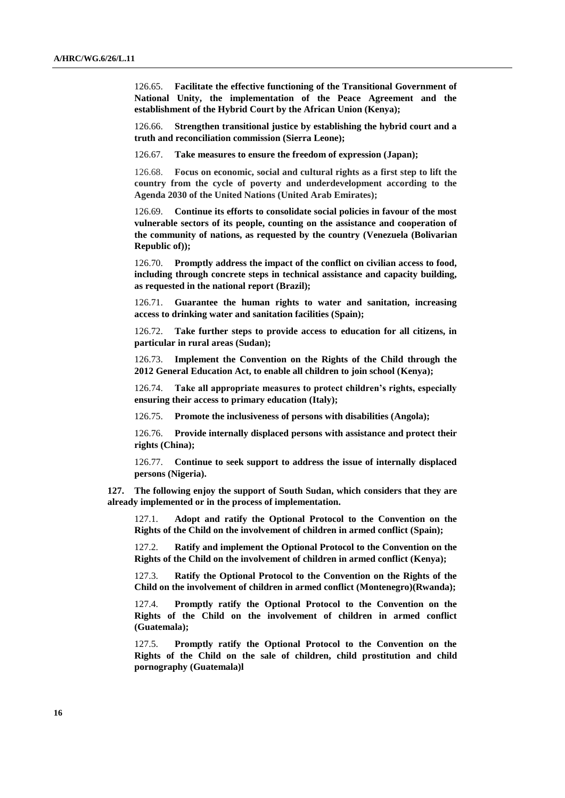126.65. **Facilitate the effective functioning of the Transitional Government of National Unity, the implementation of the Peace Agreement and the establishment of the Hybrid Court by the African Union (Kenya);**

126.66. **Strengthen transitional justice by establishing the hybrid court and a truth and reconciliation commission (Sierra Leone);**

126.67. **Take measures to ensure the freedom of expression (Japan);**

126.68. **Focus on economic, social and cultural rights as a first step to lift the country from the cycle of poverty and underdevelopment according to the Agenda 2030 of the United Nations (United Arab Emirates);**

126.69. **Continue its efforts to consolidate social policies in favour of the most vulnerable sectors of its people, counting on the assistance and cooperation of the community of nations, as requested by the country (Venezuela (Bolivarian Republic of));**

126.70. **Promptly address the impact of the conflict on civilian access to food, including through concrete steps in technical assistance and capacity building, as requested in the national report (Brazil);**

126.71. **Guarantee the human rights to water and sanitation, increasing access to drinking water and sanitation facilities (Spain);**

126.72. **Take further steps to provide access to education for all citizens, in particular in rural areas (Sudan);**

126.73. **Implement the Convention on the Rights of the Child through the 2012 General Education Act, to enable all children to join school (Kenya);**

126.74. **Take all appropriate measures to protect children's rights, especially ensuring their access to primary education (Italy);**

126.75. **Promote the inclusiveness of persons with disabilities (Angola);**

126.76. **Provide internally displaced persons with assistance and protect their rights (China);**

126.77. **Continue to seek support to address the issue of internally displaced persons (Nigeria).**

**127. The following enjoy the support of South Sudan, which considers that they are already implemented or in the process of implementation.**

127.1. **Adopt and ratify the Optional Protocol to the Convention on the Rights of the Child on the involvement of children in armed conflict (Spain);**

127.2. **Ratify and implement the Optional Protocol to the Convention on the Rights of the Child on the involvement of children in armed conflict (Kenya);**

127.3. **Ratify the Optional Protocol to the Convention on the Rights of the Child on the involvement of children in armed conflict (Montenegro)(Rwanda);**

127.4. **Promptly ratify the Optional Protocol to the Convention on the Rights of the Child on the involvement of children in armed conflict (Guatemala);**

127.5. **Promptly ratify the Optional Protocol to the Convention on the Rights of the Child on the sale of children, child prostitution and child pornography (Guatemala)l**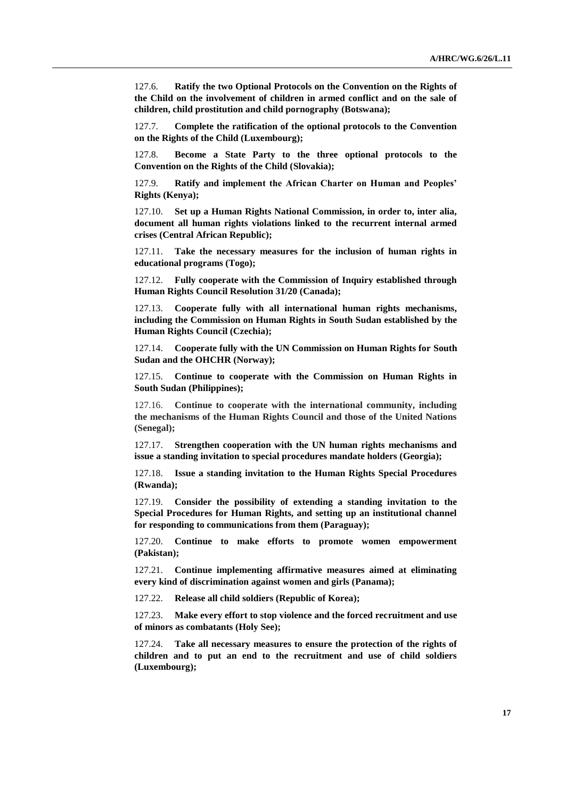127.6. **Ratify the two Optional Protocols on the Convention on the Rights of the Child on the involvement of children in armed conflict and on the sale of children, child prostitution and child pornography (Botswana);**

127.7. **Complete the ratification of the optional protocols to the Convention on the Rights of the Child (Luxembourg);**

127.8. **Become a State Party to the three optional protocols to the Convention on the Rights of the Child (Slovakia);**

127.9. **Ratify and implement the African Charter on Human and Peoples' Rights (Kenya);**

127.10. **Set up a Human Rights National Commission, in order to, inter alia, document all human rights violations linked to the recurrent internal armed crises (Central African Republic);**

127.11. **Take the necessary measures for the inclusion of human rights in educational programs (Togo);**

127.12. **Fully cooperate with the Commission of Inquiry established through Human Rights Council Resolution 31/20 (Canada);**

127.13. **Cooperate fully with all international human rights mechanisms, including the Commission on Human Rights in South Sudan established by the Human Rights Council (Czechia);** 

127.14. **Cooperate fully with the UN Commission on Human Rights for South Sudan and the OHCHR (Norway);**

127.15. **Continue to cooperate with the Commission on Human Rights in South Sudan (Philippines);**

127.16. **Continue to cooperate with the international community, including the mechanisms of the Human Rights Council and those of the United Nations (Senegal);**

127.17. **Strengthen cooperation with the UN human rights mechanisms and issue a standing invitation to special procedures mandate holders (Georgia);**

127.18. **Issue a standing invitation to the Human Rights Special Procedures (Rwanda);**

127.19. **Consider the possibility of extending a standing invitation to the Special Procedures for Human Rights, and setting up an institutional channel for responding to communications from them (Paraguay);**

127.20. **Continue to make efforts to promote women empowerment (Pakistan);**

127.21. **Continue implementing affirmative measures aimed at eliminating every kind of discrimination against women and girls (Panama);**

127.22. **Release all child soldiers (Republic of Korea);**

127.23. **Make every effort to stop violence and the forced recruitment and use of minors as combatants (Holy See);**

127.24. **Take all necessary measures to ensure the protection of the rights of children and to put an end to the recruitment and use of child soldiers (Luxembourg);**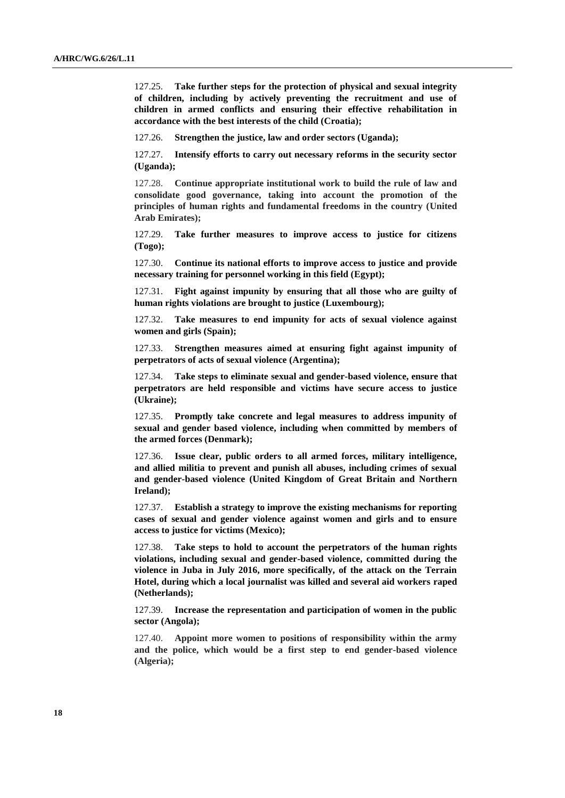127.25. **Take further steps for the protection of physical and sexual integrity of children, including by actively preventing the recruitment and use of children in armed conflicts and ensuring their effective rehabilitation in accordance with the best interests of the child (Croatia);**

127.26. **Strengthen the justice, law and order sectors (Uganda);**

127.27. **Intensify efforts to carry out necessary reforms in the security sector (Uganda);**

127.28. **Continue appropriate institutional work to build the rule of law and consolidate good governance, taking into account the promotion of the principles of human rights and fundamental freedoms in the country (United Arab Emirates);**

127.29. **Take further measures to improve access to justice for citizens (Togo);**

127.30. **Continue its national efforts to improve access to justice and provide necessary training for personnel working in this field (Egypt);**

127.31. **Fight against impunity by ensuring that all those who are guilty of human rights violations are brought to justice (Luxembourg);**

127.32. **Take measures to end impunity for acts of sexual violence against women and girls (Spain);**

127.33. **Strengthen measures aimed at ensuring fight against impunity of perpetrators of acts of sexual violence (Argentina);**

127.34. **Take steps to eliminate sexual and gender-based violence, ensure that perpetrators are held responsible and victims have secure access to justice (Ukraine);**

127.35. **Promptly take concrete and legal measures to address impunity of sexual and gender based violence, including when committed by members of the armed forces (Denmark);**

127.36. **Issue clear, public orders to all armed forces, military intelligence, and allied militia to prevent and punish all abuses, including crimes of sexual and gender-based violence (United Kingdom of Great Britain and Northern Ireland);**

127.37. **Establish a strategy to improve the existing mechanisms for reporting cases of sexual and gender violence against women and girls and to ensure access to justice for victims (Mexico);**

127.38. **Take steps to hold to account the perpetrators of the human rights violations, including sexual and gender-based violence, committed during the violence in Juba in July 2016, more specifically, of the attack on the Terrain Hotel, during which a local journalist was killed and several aid workers raped (Netherlands);**

127.39. **Increase the representation and participation of women in the public sector (Angola);**

127.40. **Appoint more women to positions of responsibility within the army and the police, which would be a first step to end gender-based violence (Algeria);**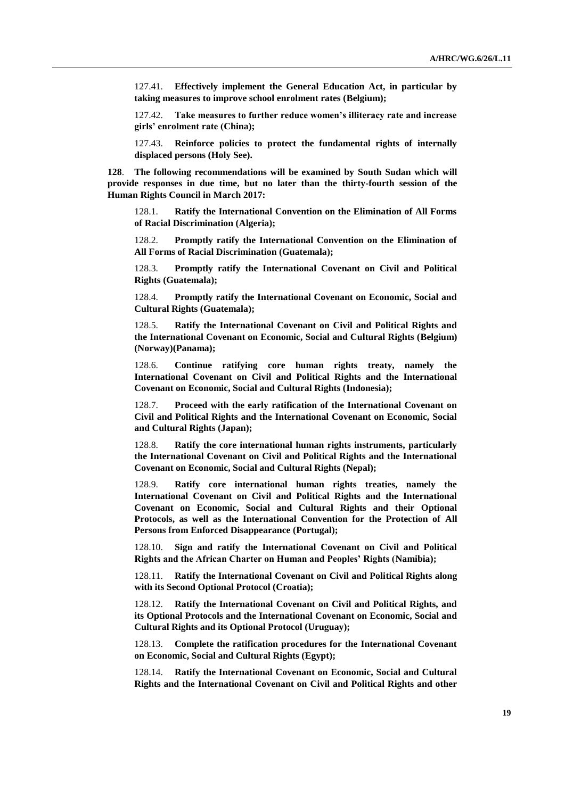127.41. **Effectively implement the General Education Act, in particular by taking measures to improve school enrolment rates (Belgium);**

127.42. **Take measures to further reduce women's illiteracy rate and increase girls' enrolment rate (China);**

127.43. **Reinforce policies to protect the fundamental rights of internally displaced persons (Holy See).**

**128**. **The following recommendations will be examined by South Sudan which will provide responses in due time, but no later than the thirty-fourth session of the Human Rights Council in March 2017:**

128.1. **Ratify the International Convention on the Elimination of All Forms of Racial Discrimination (Algeria);**

128.2. **Promptly ratify the International Convention on the Elimination of All Forms of Racial Discrimination (Guatemala);**

128.3. **Promptly ratify the International Covenant on Civil and Political Rights (Guatemala);**

128.4. **Promptly ratify the International Covenant on Economic, Social and Cultural Rights (Guatemala);**

128.5. **Ratify the International Covenant on Civil and Political Rights and the International Covenant on Economic, Social and Cultural Rights (Belgium) (Norway)(Panama);**

128.6. **Continue ratifying core human rights treaty, namely the International Covenant on Civil and Political Rights and the International Covenant on Economic, Social and Cultural Rights (Indonesia);**

128.7. **Proceed with the early ratification of the International Covenant on Civil and Political Rights and the International Covenant on Economic, Social and Cultural Rights (Japan);**

128.8. **Ratify the core international human rights instruments, particularly the International Covenant on Civil and Political Rights and the International Covenant on Economic, Social and Cultural Rights (Nepal);**

128.9. **Ratify core international human rights treaties, namely the International Covenant on Civil and Political Rights and the International Covenant on Economic, Social and Cultural Rights and their Optional Protocols, as well as the International Convention for the Protection of All Persons from Enforced Disappearance (Portugal);**

Sign and ratify the International Covenant on Civil and Political **Rights and the African Charter on Human and Peoples' Rights (Namibia);**

128.11. **Ratify the International Covenant on Civil and Political Rights along with its Second Optional Protocol (Croatia);**

128.12. **Ratify the International Covenant on Civil and Political Rights, and its Optional Protocols and the International Covenant on Economic, Social and Cultural Rights and its Optional Protocol (Uruguay);**

128.13. **Complete the ratification procedures for the International Covenant on Economic, Social and Cultural Rights (Egypt);**

Ratify the International Covenant on Economic, Social and Cultural **Rights and the International Covenant on Civil and Political Rights and other**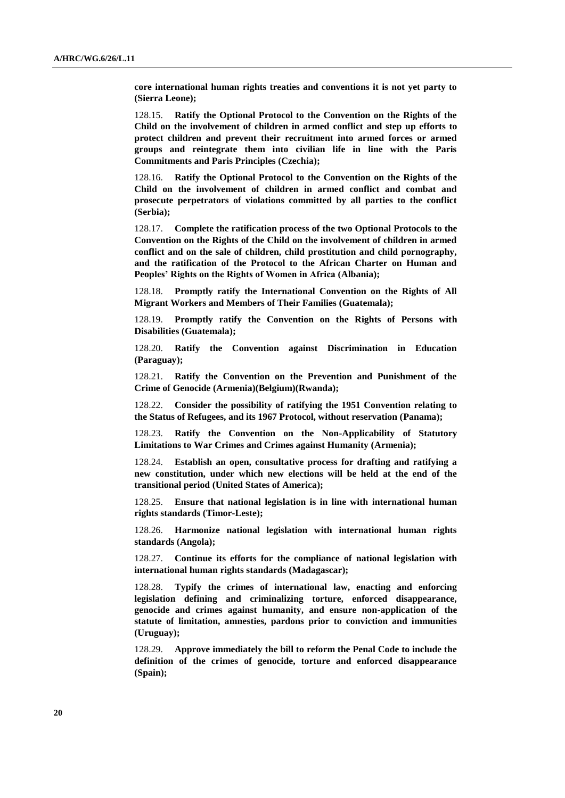**core international human rights treaties and conventions it is not yet party to (Sierra Leone);**

128.15. **Ratify the Optional Protocol to the Convention on the Rights of the Child on the involvement of children in armed conflict and step up efforts to protect children and prevent their recruitment into armed forces or armed groups and reintegrate them into civilian life in line with the Paris Commitments and Paris Principles (Czechia);**

128.16. **Ratify the Optional Protocol to the Convention on the Rights of the Child on the involvement of children in armed conflict and combat and prosecute perpetrators of violations committed by all parties to the conflict (Serbia);**

128.17. **Complete the ratification process of the two Optional Protocols to the Convention on the Rights of the Child on the involvement of children in armed conflict and on the sale of children, child prostitution and child pornography, and the ratification of the Protocol to the African Charter on Human and Peoples' Rights on the Rights of Women in Africa (Albania);**

128.18. **Promptly ratify the International Convention on the Rights of All Migrant Workers and Members of Their Families (Guatemala);**

128.19. **Promptly ratify the Convention on the Rights of Persons with Disabilities (Guatemala);**

128.20. **Ratify the Convention against Discrimination in Education (Paraguay);**

128.21. **Ratify the Convention on the Prevention and Punishment of the Crime of Genocide (Armenia)(Belgium)(Rwanda);**

128.22. **Consider the possibility of ratifying the 1951 Convention relating to the Status of Refugees, and its 1967 Protocol, without reservation (Panama);**

128.23. **Ratify the Convention on the Non-Applicability of Statutory Limitations to War Crimes and Crimes against Humanity (Armenia);**

128.24. **Establish an open, consultative process for drafting and ratifying a new constitution, under which new elections will be held at the end of the transitional period (United States of America);**

128.25. **Ensure that national legislation is in line with international human rights standards (Timor-Leste);**

128.26. **Harmonize national legislation with international human rights standards (Angola);** 

128.27. **Continue its efforts for the compliance of national legislation with international human rights standards (Madagascar);**

128.28. **Typify the crimes of international law, enacting and enforcing legislation defining and criminalizing torture, enforced disappearance, genocide and crimes against humanity, and ensure non-application of the statute of limitation, amnesties, pardons prior to conviction and immunities (Uruguay);**

128.29. **Approve immediately the bill to reform the Penal Code to include the definition of the crimes of genocide, torture and enforced disappearance (Spain);**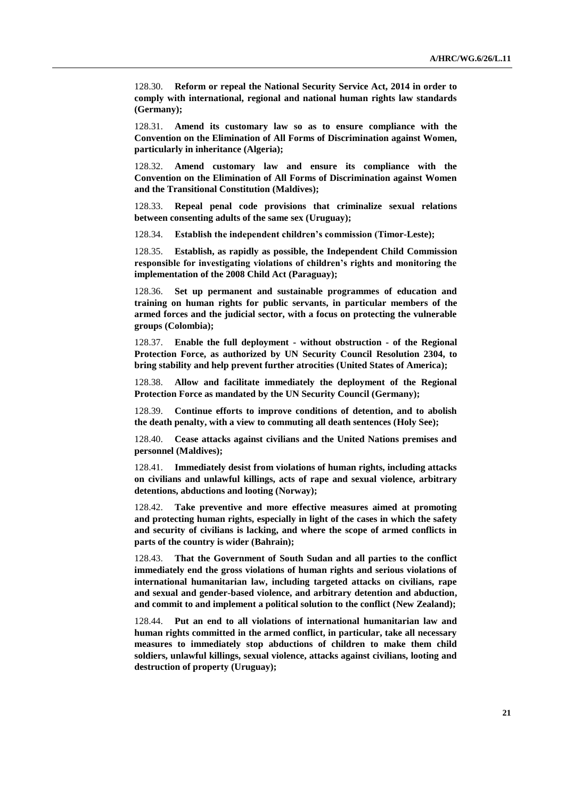128.30. **Reform or repeal the National Security Service Act, 2014 in order to comply with international, regional and national human rights law standards (Germany);**

128.31. **Amend its customary law so as to ensure compliance with the Convention on the Elimination of All Forms of Discrimination against Women, particularly in inheritance (Algeria);**

128.32. **Amend customary law and ensure its compliance with the Convention on the Elimination of All Forms of Discrimination against Women and the Transitional Constitution (Maldives);**

128.33. **Repeal penal code provisions that criminalize sexual relations between consenting adults of the same sex (Uruguay);**

128.34. **Establish the independent children's commission (Timor-Leste);**

128.35. **Establish, as rapidly as possible, the Independent Child Commission responsible for investigating violations of children's rights and monitoring the implementation of the 2008 Child Act (Paraguay);**

128.36. **Set up permanent and sustainable programmes of education and training on human rights for public servants, in particular members of the armed forces and the judicial sector, with a focus on protecting the vulnerable groups (Colombia);**

128.37. **Enable the full deployment - without obstruction - of the Regional Protection Force, as authorized by UN Security Council Resolution 2304, to bring stability and help prevent further atrocities (United States of America);**

128.38. **Allow and facilitate immediately the deployment of the Regional Protection Force as mandated by the UN Security Council (Germany);**

128.39. **Continue efforts to improve conditions of detention, and to abolish the death penalty, with a view to commuting all death sentences (Holy See);**

128.40. **Cease attacks against civilians and the United Nations premises and personnel (Maldives);**

128.41. **Immediately desist from violations of human rights, including attacks on civilians and unlawful killings, acts of rape and sexual violence, arbitrary detentions, abductions and looting (Norway);**

128.42. **Take preventive and more effective measures aimed at promoting and protecting human rights, especially in light of the cases in which the safety and security of civilians is lacking, and where the scope of armed conflicts in parts of the country is wider (Bahrain);**

128.43. **That the Government of South Sudan and all parties to the conflict immediately end the gross violations of human rights and serious violations of international humanitarian law, including targeted attacks on civilians, rape and sexual and gender-based violence, and arbitrary detention and abduction, and commit to and implement a political solution to the conflict (New Zealand);**

128.44. **Put an end to all violations of international humanitarian law and human rights committed in the armed conflict, in particular, take all necessary measures to immediately stop abductions of children to make them child soldiers, unlawful killings, sexual violence, attacks against civilians, looting and destruction of property (Uruguay);**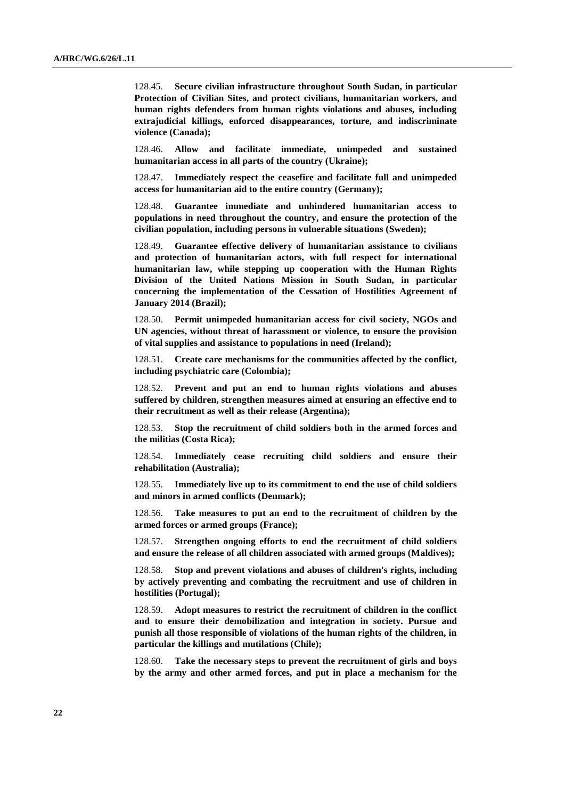128.45. **Secure civilian infrastructure throughout South Sudan, in particular Protection of Civilian Sites, and protect civilians, humanitarian workers, and human rights defenders from human rights violations and abuses, including extrajudicial killings, enforced disappearances, torture, and indiscriminate violence (Canada);**

128.46. **Allow and facilitate immediate, unimpeded and sustained humanitarian access in all parts of the country (Ukraine);**

128.47. **Immediately respect the ceasefire and facilitate full and unimpeded access for humanitarian aid to the entire country (Germany);**

128.48. **Guarantee immediate and unhindered humanitarian access to populations in need throughout the country, and ensure the protection of the civilian population, including persons in vulnerable situations (Sweden);**

128.49. **Guarantee effective delivery of humanitarian assistance to civilians and protection of humanitarian actors, with full respect for international humanitarian law, while stepping up cooperation with the Human Rights Division of the United Nations Mission in South Sudan, in particular concerning the implementation of the Cessation of Hostilities Agreement of January 2014 (Brazil);**

128.50. **Permit unimpeded humanitarian access for civil society, NGOs and UN agencies, without threat of harassment or violence, to ensure the provision of vital supplies and assistance to populations in need (Ireland);**

128.51. **Create care mechanisms for the communities affected by the conflict, including psychiatric care (Colombia);**

128.52. **Prevent and put an end to human rights violations and abuses suffered by children, strengthen measures aimed at ensuring an effective end to their recruitment as well as their release (Argentina);**

128.53. **Stop the recruitment of child soldiers both in the armed forces and the militias (Costa Rica);**

128.54. **Immediately cease recruiting child soldiers and ensure their rehabilitation (Australia);**

128.55. **Immediately live up to its commitment to end the use of child soldiers and minors in armed conflicts (Denmark);**

128.56. **Take measures to put an end to the recruitment of children by the armed forces or armed groups (France);**

128.57. **Strengthen ongoing efforts to end the recruitment of child soldiers and ensure the release of all children associated with armed groups (Maldives);**

128.58. **Stop and prevent violations and abuses of children's rights, including by actively preventing and combating the recruitment and use of children in hostilities (Portugal);**

128.59. **Adopt measures to restrict the recruitment of children in the conflict and to ensure their demobilization and integration in society. Pursue and punish all those responsible of violations of the human rights of the children, in particular the killings and mutilations (Chile);**

128.60. **Take the necessary steps to prevent the recruitment of girls and boys by the army and other armed forces, and put in place a mechanism for the**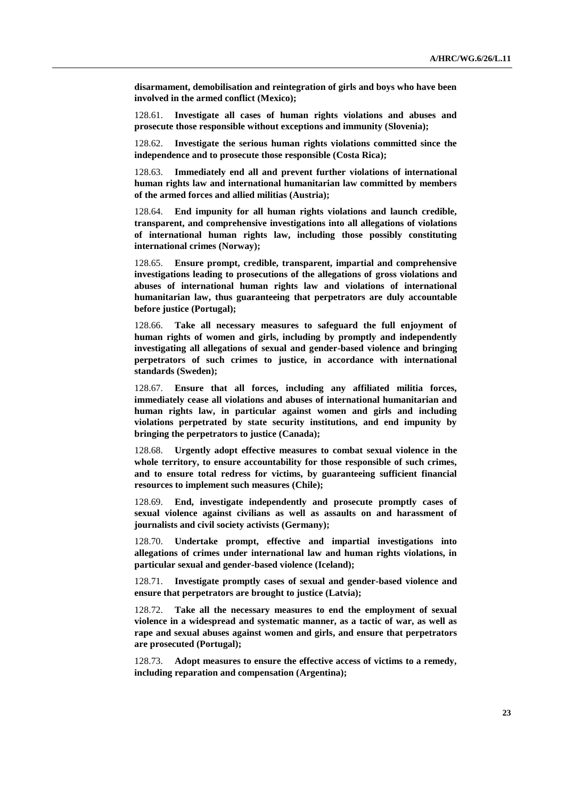**disarmament, demobilisation and reintegration of girls and boys who have been involved in the armed conflict (Mexico);**

128.61. **Investigate all cases of human rights violations and abuses and prosecute those responsible without exceptions and immunity (Slovenia);**

128.62. **Investigate the serious human rights violations committed since the independence and to prosecute those responsible (Costa Rica);**

128.63. **Immediately end all and prevent further violations of international human rights law and international humanitarian law committed by members of the armed forces and allied militias (Austria);** 

128.64. **End impunity for all human rights violations and launch credible, transparent, and comprehensive investigations into all allegations of violations of international human rights law, including those possibly constituting international crimes (Norway);**

128.65. **Ensure prompt, credible, transparent, impartial and comprehensive investigations leading to prosecutions of the allegations of gross violations and abuses of international human rights law and violations of international humanitarian law, thus guaranteeing that perpetrators are duly accountable before justice (Portugal);**

128.66. **Take all necessary measures to safeguard the full enjoyment of human rights of women and girls, including by promptly and independently investigating all allegations of sexual and gender-based violence and bringing perpetrators of such crimes to justice, in accordance with international standards (Sweden);**

128.67. **Ensure that all forces, including any affiliated militia forces, immediately cease all violations and abuses of international humanitarian and human rights law, in particular against women and girls and including violations perpetrated by state security institutions, and end impunity by bringing the perpetrators to justice (Canada);**

128.68. **Urgently adopt effective measures to combat sexual violence in the whole territory, to ensure accountability for those responsible of such crimes, and to ensure total redress for victims, by guaranteeing sufficient financial resources to implement such measures (Chile);**

128.69. **End, investigate independently and prosecute promptly cases of sexual violence against civilians as well as assaults on and harassment of journalists and civil society activists (Germany);**

128.70. **Undertake prompt, effective and impartial investigations into allegations of crimes under international law and human rights violations, in particular sexual and gender-based violence (Iceland);**

128.71. **Investigate promptly cases of sexual and gender-based violence and ensure that perpetrators are brought to justice (Latvia);**

128.72. **Take all the necessary measures to end the employment of sexual violence in a widespread and systematic manner, as a tactic of war, as well as rape and sexual abuses against women and girls, and ensure that perpetrators are prosecuted (Portugal);**

128.73. **Adopt measures to ensure the effective access of victims to a remedy, including reparation and compensation (Argentina);**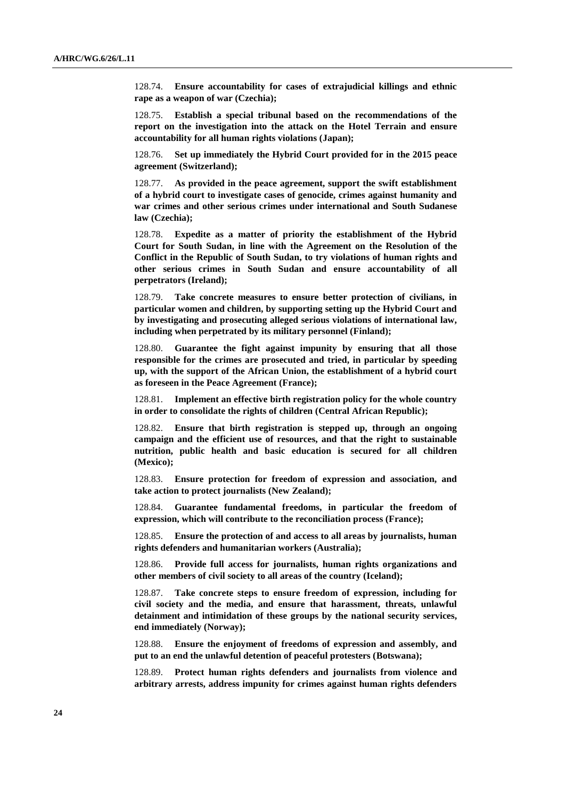128.74. **Ensure accountability for cases of extrajudicial killings and ethnic rape as a weapon of war (Czechia);**

128.75. **Establish a special tribunal based on the recommendations of the report on the investigation into the attack on the Hotel Terrain and ensure accountability for all human rights violations (Japan);**

128.76. **Set up immediately the Hybrid Court provided for in the 2015 peace agreement (Switzerland);**

128.77. **As provided in the peace agreement, support the swift establishment of a hybrid court to investigate cases of genocide, crimes against humanity and war crimes and other serious crimes under international and South Sudanese law (Czechia);**

128.78. **Expedite as a matter of priority the establishment of the Hybrid Court for South Sudan, in line with the Agreement on the Resolution of the Conflict in the Republic of South Sudan, to try violations of human rights and other serious crimes in South Sudan and ensure accountability of all perpetrators (Ireland);**

128.79. **Take concrete measures to ensure better protection of civilians, in particular women and children, by supporting setting up the Hybrid Court and by investigating and prosecuting alleged serious violations of international law, including when perpetrated by its military personnel (Finland);**

128.80. **Guarantee the fight against impunity by ensuring that all those responsible for the crimes are prosecuted and tried, in particular by speeding up, with the support of the African Union, the establishment of a hybrid court as foreseen in the Peace Agreement (France);**

128.81. **Implement an effective birth registration policy for the whole country in order to consolidate the rights of children (Central African Republic);**

128.82. **Ensure that birth registration is stepped up, through an ongoing campaign and the efficient use of resources, and that the right to sustainable nutrition, public health and basic education is secured for all children (Mexico);**

128.83. **Ensure protection for freedom of expression and association, and take action to protect journalists (New Zealand);**

128.84. **Guarantee fundamental freedoms, in particular the freedom of expression, which will contribute to the reconciliation process (France);**

128.85. **Ensure the protection of and access to all areas by journalists, human rights defenders and humanitarian workers (Australia);**

128.86. **Provide full access for journalists, human rights organizations and other members of civil society to all areas of the country (Iceland);**

128.87. **Take concrete steps to ensure freedom of expression, including for civil society and the media, and ensure that harassment, threats, unlawful detainment and intimidation of these groups by the national security services, end immediately (Norway);**

128.88. **Ensure the enjoyment of freedoms of expression and assembly, and put to an end the unlawful detention of peaceful protesters (Botswana);**

128.89. **Protect human rights defenders and journalists from violence and arbitrary arrests, address impunity for crimes against human rights defenders**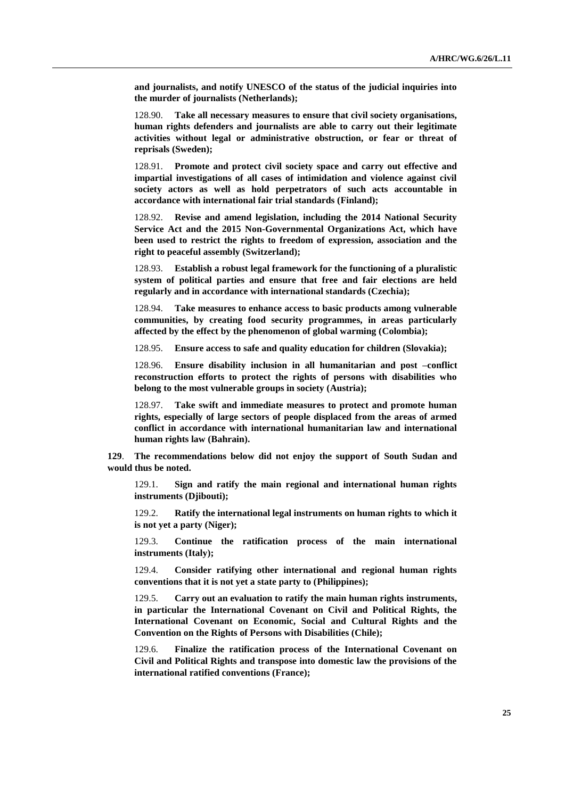**and journalists, and notify UNESCO of the status of the judicial inquiries into the murder of journalists (Netherlands);**

128.90. **Take all necessary measures to ensure that civil society organisations, human rights defenders and journalists are able to carry out their legitimate activities without legal or administrative obstruction, or fear or threat of reprisals (Sweden);**

128.91. **Promote and protect civil society space and carry out effective and impartial investigations of all cases of intimidation and violence against civil society actors as well as hold perpetrators of such acts accountable in accordance with international fair trial standards (Finland);**

128.92. **Revise and amend legislation, including the 2014 National Security Service Act and the 2015 Non-Governmental Organizations Act, which have been used to restrict the rights to freedom of expression, association and the right to peaceful assembly (Switzerland);**

128.93. **Establish a robust legal framework for the functioning of a pluralistic system of political parties and ensure that free and fair elections are held regularly and in accordance with international standards (Czechia);**

128.94. **Take measures to enhance access to basic products among vulnerable communities, by creating food security programmes, in areas particularly affected by the effect by the phenomenon of global warming (Colombia);**

128.95. **Ensure access to safe and quality education for children (Slovakia);**

128.96. **Ensure disability inclusion in all humanitarian and post –conflict reconstruction efforts to protect the rights of persons with disabilities who belong to the most vulnerable groups in society (Austria);** 

128.97. **Take swift and immediate measures to protect and promote human rights, especially of large sectors of people displaced from the areas of armed conflict in accordance with international humanitarian law and international human rights law (Bahrain).**

**129**. **The recommendations below did not enjoy the support of South Sudan and would thus be noted.**

129.1. **Sign and ratify the main regional and international human rights instruments (Djibouti);**

129.2. **Ratify the international legal instruments on human rights to which it is not yet a party (Niger);**

129.3. **Continue the ratification process of the main international instruments (Italy);**

129.4. **Consider ratifying other international and regional human rights conventions that it is not yet a state party to (Philippines);**

129.5. **Carry out an evaluation to ratify the main human rights instruments, in particular the International Covenant on Civil and Political Rights, the International Covenant on Economic, Social and Cultural Rights and the Convention on the Rights of Persons with Disabilities (Chile);**

129.6. **Finalize the ratification process of the International Covenant on Civil and Political Rights and transpose into domestic law the provisions of the international ratified conventions (France);**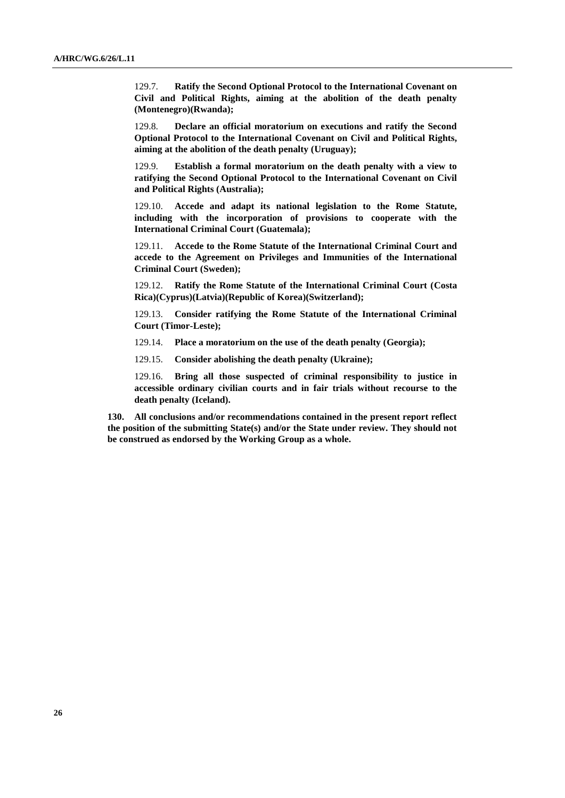129.7. **Ratify the Second Optional Protocol to the International Covenant on Civil and Political Rights, aiming at the abolition of the death penalty (Montenegro)(Rwanda);**

129.8. **Declare an official moratorium on executions and ratify the Second Optional Protocol to the International Covenant on Civil and Political Rights, aiming at the abolition of the death penalty (Uruguay);**

129.9. **Establish a formal moratorium on the death penalty with a view to ratifying the Second Optional Protocol to the International Covenant on Civil and Political Rights (Australia);**

129.10. **Accede and adapt its national legislation to the Rome Statute, including with the incorporation of provisions to cooperate with the International Criminal Court (Guatemala);**

129.11. **Accede to the Rome Statute of the International Criminal Court and accede to the Agreement on Privileges and Immunities of the International Criminal Court (Sweden);**

129.12. **Ratify the Rome Statute of the International Criminal Court (Costa Rica)(Cyprus)(Latvia)(Republic of Korea)(Switzerland);**

129.13. **Consider ratifying the Rome Statute of the International Criminal Court (Timor-Leste);**

- 129.14. **Place a moratorium on the use of the death penalty (Georgia);**
- 129.15. **Consider abolishing the death penalty (Ukraine);**

129.16. **Bring all those suspected of criminal responsibility to justice in accessible ordinary civilian courts and in fair trials without recourse to the death penalty (Iceland).**

**130. All conclusions and/or recommendations contained in the present report reflect the position of the submitting State(s) and/or the State under review. They should not be construed as endorsed by the Working Group as a whole.**